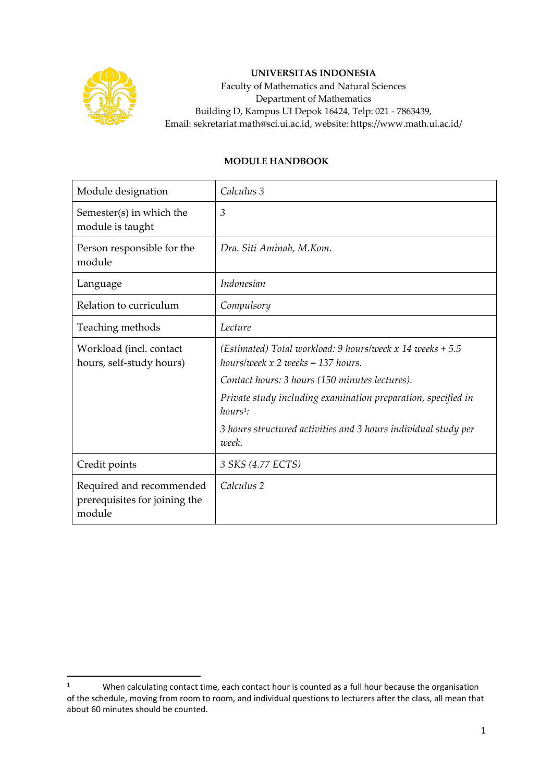

## **UNIVERSITAS INDONESIA**

Faculty of Mathematics and Natural Sciences Department of Mathematics Building D, Kampus UI Depok 16424, Telp: 021 - 7863439, Email: sekretariat.math@sci.ui.ac.id, website: https://www.math.ui.ac.id/

## **MODULE HANDBOOK**

| Module designation                                                  | Calculus 3                                                                                         |
|---------------------------------------------------------------------|----------------------------------------------------------------------------------------------------|
| Semester(s) in which the<br>module is taught                        | $\mathfrak{Z}$                                                                                     |
| Person responsible for the<br>module                                | Dra. Siti Aminah, M.Kom.                                                                           |
| Language                                                            | <i>Indonesian</i>                                                                                  |
| Relation to curriculum                                              | Compulsory                                                                                         |
| Teaching methods                                                    | Lecture                                                                                            |
| Workload (incl. contact<br>hours, self-study hours)                 | (Estimated) Total workload: 9 hours/week $x$ 14 weeks + 5.5<br>hours/week $x 2$ weeks = 137 hours. |
|                                                                     | Contact hours: 3 hours (150 minutes lectures).                                                     |
|                                                                     | Private study including examination preparation, specified in<br>$hours1$ :                        |
|                                                                     | 3 hours structured activities and 3 hours individual study per<br>week.                            |
| Credit points                                                       | 3 SKS (4.77 ECTS)                                                                                  |
| Required and recommended<br>prerequisites for joining the<br>module | Calculus 2                                                                                         |

<sup>&</sup>lt;sup>1</sup> When calculating contact time, each contact hour is counted as a full hour because the organisation of the schedule, moving from room to room, and individual questions to lecturers after the class, all mean that about 60 minutes should be counted.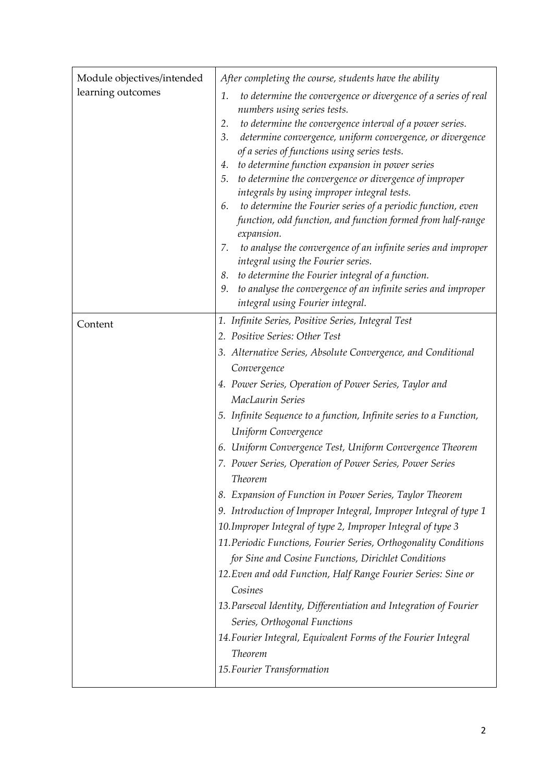| Module objectives/intended | After completing the course, students have the ability                                                                                                                                                                                                                                                                                                                                                                                                                                                                                                                                                                                                                                                                                                                                                                                                                                             |
|----------------------------|----------------------------------------------------------------------------------------------------------------------------------------------------------------------------------------------------------------------------------------------------------------------------------------------------------------------------------------------------------------------------------------------------------------------------------------------------------------------------------------------------------------------------------------------------------------------------------------------------------------------------------------------------------------------------------------------------------------------------------------------------------------------------------------------------------------------------------------------------------------------------------------------------|
| learning outcomes          | to determine the convergence or divergence of a series of real<br>1.<br>numbers using series tests.<br>to determine the convergence interval of a power series.<br>2.<br>determine convergence, uniform convergence, or divergence<br>3.<br>of a series of functions using series tests.<br>to determine function expansion in power series<br>4.<br>to determine the convergence or divergence of improper<br>5.<br>integrals by using improper integral tests.<br>to determine the Fourier series of a periodic function, even<br>6.<br>function, odd function, and function formed from half-range<br>expansion.<br>to analyse the convergence of an infinite series and improper<br>7.<br>integral using the Fourier series.<br>to determine the Fourier integral of a function.<br>8.<br>9. to analyse the convergence of an infinite series and improper<br>integral using Fourier integral. |
| Content                    | 1. Infinite Series, Positive Series, Integral Test                                                                                                                                                                                                                                                                                                                                                                                                                                                                                                                                                                                                                                                                                                                                                                                                                                                 |
|                            | 2. Positive Series: Other Test                                                                                                                                                                                                                                                                                                                                                                                                                                                                                                                                                                                                                                                                                                                                                                                                                                                                     |
|                            | 3. Alternative Series, Absolute Convergence, and Conditional                                                                                                                                                                                                                                                                                                                                                                                                                                                                                                                                                                                                                                                                                                                                                                                                                                       |
|                            | Convergence                                                                                                                                                                                                                                                                                                                                                                                                                                                                                                                                                                                                                                                                                                                                                                                                                                                                                        |
|                            | 4. Power Series, Operation of Power Series, Taylor and                                                                                                                                                                                                                                                                                                                                                                                                                                                                                                                                                                                                                                                                                                                                                                                                                                             |
|                            | MacLaurin Series                                                                                                                                                                                                                                                                                                                                                                                                                                                                                                                                                                                                                                                                                                                                                                                                                                                                                   |
|                            | 5. Infinite Sequence to a function, Infinite series to a Function,                                                                                                                                                                                                                                                                                                                                                                                                                                                                                                                                                                                                                                                                                                                                                                                                                                 |
|                            | Uniform Convergence                                                                                                                                                                                                                                                                                                                                                                                                                                                                                                                                                                                                                                                                                                                                                                                                                                                                                |
|                            | 6. Uniform Convergence Test, Uniform Convergence Theorem                                                                                                                                                                                                                                                                                                                                                                                                                                                                                                                                                                                                                                                                                                                                                                                                                                           |
|                            | 7. Power Series, Operation of Power Series, Power Series<br>Theorem                                                                                                                                                                                                                                                                                                                                                                                                                                                                                                                                                                                                                                                                                                                                                                                                                                |
|                            | 8. Expansion of Function in Power Series, Taylor Theorem                                                                                                                                                                                                                                                                                                                                                                                                                                                                                                                                                                                                                                                                                                                                                                                                                                           |
|                            | 9. Introduction of Improper Integral, Improper Integral of type 1                                                                                                                                                                                                                                                                                                                                                                                                                                                                                                                                                                                                                                                                                                                                                                                                                                  |
|                            | 10. Improper Integral of type 2, Improper Integral of type 3                                                                                                                                                                                                                                                                                                                                                                                                                                                                                                                                                                                                                                                                                                                                                                                                                                       |
|                            | 11. Periodic Functions, Fourier Series, Orthogonality Conditions                                                                                                                                                                                                                                                                                                                                                                                                                                                                                                                                                                                                                                                                                                                                                                                                                                   |
|                            | for Sine and Cosine Functions, Dirichlet Conditions                                                                                                                                                                                                                                                                                                                                                                                                                                                                                                                                                                                                                                                                                                                                                                                                                                                |
|                            | 12. Even and odd Function, Half Range Fourier Series: Sine or                                                                                                                                                                                                                                                                                                                                                                                                                                                                                                                                                                                                                                                                                                                                                                                                                                      |
|                            | Cosines                                                                                                                                                                                                                                                                                                                                                                                                                                                                                                                                                                                                                                                                                                                                                                                                                                                                                            |
|                            | 13. Parseval Identity, Differentiation and Integration of Fourier                                                                                                                                                                                                                                                                                                                                                                                                                                                                                                                                                                                                                                                                                                                                                                                                                                  |
|                            | Series, Orthogonal Functions                                                                                                                                                                                                                                                                                                                                                                                                                                                                                                                                                                                                                                                                                                                                                                                                                                                                       |
|                            | 14. Fourier Integral, Equivalent Forms of the Fourier Integral                                                                                                                                                                                                                                                                                                                                                                                                                                                                                                                                                                                                                                                                                                                                                                                                                                     |
|                            | Theorem                                                                                                                                                                                                                                                                                                                                                                                                                                                                                                                                                                                                                                                                                                                                                                                                                                                                                            |
|                            | 15. Fourier Transformation                                                                                                                                                                                                                                                                                                                                                                                                                                                                                                                                                                                                                                                                                                                                                                                                                                                                         |
|                            |                                                                                                                                                                                                                                                                                                                                                                                                                                                                                                                                                                                                                                                                                                                                                                                                                                                                                                    |